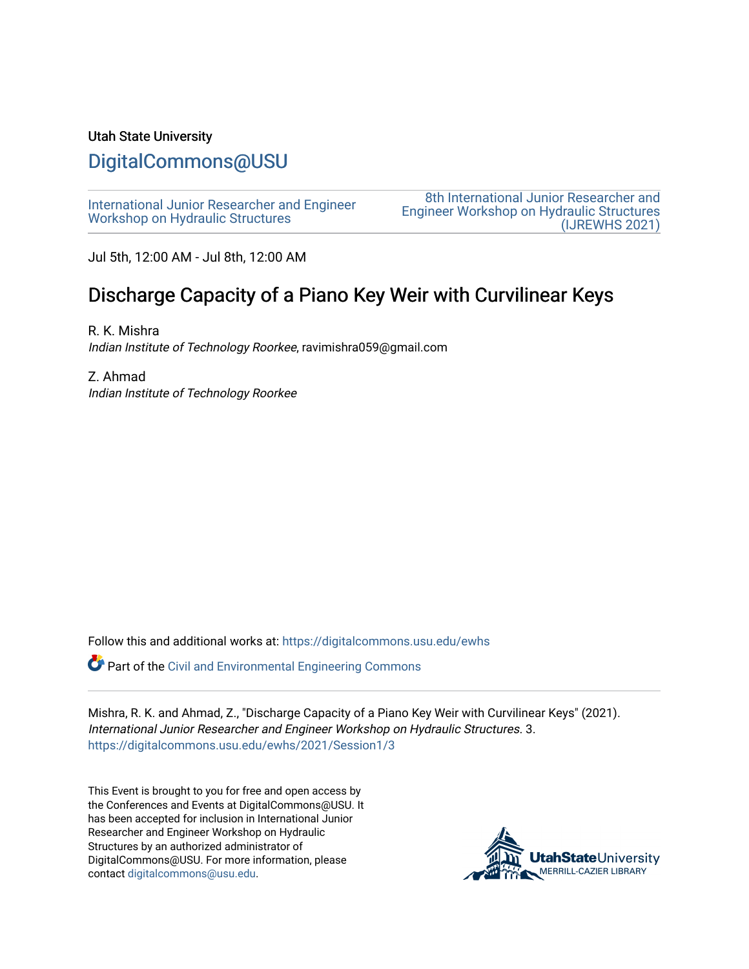#### Utah State University

## [DigitalCommons@USU](https://digitalcommons.usu.edu/)

[International Junior Researcher and Engineer](https://digitalcommons.usu.edu/ewhs) [Workshop on Hydraulic Structures](https://digitalcommons.usu.edu/ewhs)

[8th International Junior Researcher and](https://digitalcommons.usu.edu/ewhs/2021)  [Engineer Workshop on Hydraulic Structures](https://digitalcommons.usu.edu/ewhs/2021)  [\(IJREWHS 2021\)](https://digitalcommons.usu.edu/ewhs/2021) 

Jul 5th, 12:00 AM - Jul 8th, 12:00 AM

# Discharge Capacity of a Piano Key Weir with Curvilinear Keys

R. K. Mishra Indian Institute of Technology Roorkee, ravimishra059@gmail.com

Z. Ahmad Indian Institute of Technology Roorkee

Follow this and additional works at: [https://digitalcommons.usu.edu/ewhs](https://digitalcommons.usu.edu/ewhs?utm_source=digitalcommons.usu.edu%2Fewhs%2F2021%2FSession1%2F3&utm_medium=PDF&utm_campaign=PDFCoverPages) 

Part of the [Civil and Environmental Engineering Commons](http://network.bepress.com/hgg/discipline/251?utm_source=digitalcommons.usu.edu%2Fewhs%2F2021%2FSession1%2F3&utm_medium=PDF&utm_campaign=PDFCoverPages)

Mishra, R. K. and Ahmad, Z., "Discharge Capacity of a Piano Key Weir with Curvilinear Keys" (2021). International Junior Researcher and Engineer Workshop on Hydraulic Structures. 3. [https://digitalcommons.usu.edu/ewhs/2021/Session1/3](https://digitalcommons.usu.edu/ewhs/2021/Session1/3?utm_source=digitalcommons.usu.edu%2Fewhs%2F2021%2FSession1%2F3&utm_medium=PDF&utm_campaign=PDFCoverPages) 

This Event is brought to you for free and open access by the Conferences and Events at DigitalCommons@USU. It has been accepted for inclusion in International Junior Researcher and Engineer Workshop on Hydraulic Structures by an authorized administrator of DigitalCommons@USU. For more information, please contact [digitalcommons@usu.edu](mailto:digitalcommons@usu.edu).

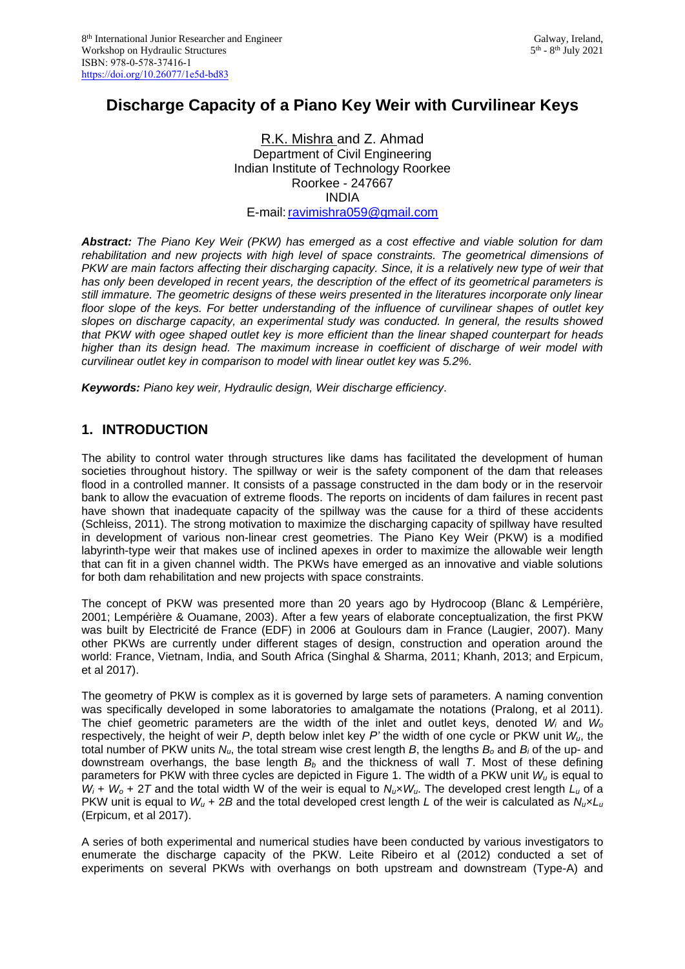## **Discharge Capacity of a Piano Key Weir with Curvilinear Keys**

#### R.K. Mishra and Z. Ahmad Department of Civil Engineering Indian Institute of Technology Roorkee Roorkee - 247667 INDIA E-mail:ravimishra059@gmail.com

*Abstract: The Piano Key Weir (PKW) has emerged as a cost effective and viable solution for dam rehabilitation and new projects with high level of space constraints. The geometrical dimensions of PKW are main factors affecting their discharging capacity. Since, it is a relatively new type of weir that has only been developed in recent years, the description of the effect of its geometrical parameters is still immature. The geometric designs of these weirs presented in the literatures incorporate only linear floor slope of the keys. For better understanding of the influence of curvilinear shapes of outlet key slopes on discharge capacity, an experimental study was conducted. In general, the results showed that PKW with ogee shaped outlet key is more efficient than the linear shaped counterpart for heads higher than its design head. The maximum increase in coefficient of discharge of weir model with curvilinear outlet key in comparison to model with linear outlet key was 5.2%.*

*Keywords: Piano key weir, Hydraulic design, Weir discharge efficiency.*

## **1. INTRODUCTION**

The ability to control water through structures like dams has facilitated the development of human societies throughout history. The spillway or weir is the safety component of the dam that releases flood in a controlled manner. It consists of a passage constructed in the dam body or in the reservoir bank to allow the evacuation of extreme floods. The reports on incidents of dam failures in recent past have shown that inadequate capacity of the spillway was the cause for a third of these accidents (Schleiss, 2011). The strong motivation to maximize the discharging capacity of spillway have resulted in development of various non-linear crest geometries. The Piano Key Weir (PKW) is a modified labyrinth-type weir that makes use of inclined apexes in order to maximize the allowable weir length that can fit in a given channel width. The PKWs have emerged as an innovative and viable solutions for both dam rehabilitation and new projects with space constraints.

The concept of PKW was presented more than 20 years ago by Hydrocoop (Blanc & Lempérière, 2001; Lempérière & Ouamane, 2003). After a few years of elaborate conceptualization, the first PKW was built by Electricité de France (EDF) in 2006 at Goulours dam in France (Laugier, 2007). Many other PKWs are currently under different stages of design, construction and operation around the world: France, Vietnam, India, and South Africa (Singhal & Sharma, 2011; Khanh, 2013; and Erpicum, et al 2017).

The geometry of PKW is complex as it is governed by large sets of parameters. A naming convention was specifically developed in some laboratories to amalgamate the notations (Pralong, et al 2011). The chief geometric parameters are the width of the inlet and outlet keys, denoted *W<sup>i</sup>* and *W<sup>o</sup>* respectively, the height of weir *P*, depth below inlet key *P'* the width of one cycle or PKW unit *Wu*, the total number of PKW units *Nu*, the total stream wise crest length *B*, the lengths *B<sup>o</sup>* and *B<sup>i</sup>* of the up- and downstream overhangs, the base length *B<sup>b</sup>* and the thickness of wall *T*. Most of these defining parameters for PKW with three cycles are depicted in Figure 1. The width of a PKW unit *W<sup>u</sup>* is equal to  $W_i + W_0 + 2T$  and the total width W of the weir is equal to  $N_u \times W_u$ . The developed crest length  $L_u$  of a PKW unit is equal to  $W_u + 2B$  and the total developed crest length *L* of the weir is calculated as  $N_u \times L_u$ (Erpicum, et al 2017).

A series of both experimental and numerical studies have been conducted by various investigators to enumerate the discharge capacity of the PKW. Leite Ribeiro et al (2012) conducted a set of experiments on several PKWs with overhangs on both upstream and downstream (Type-A) and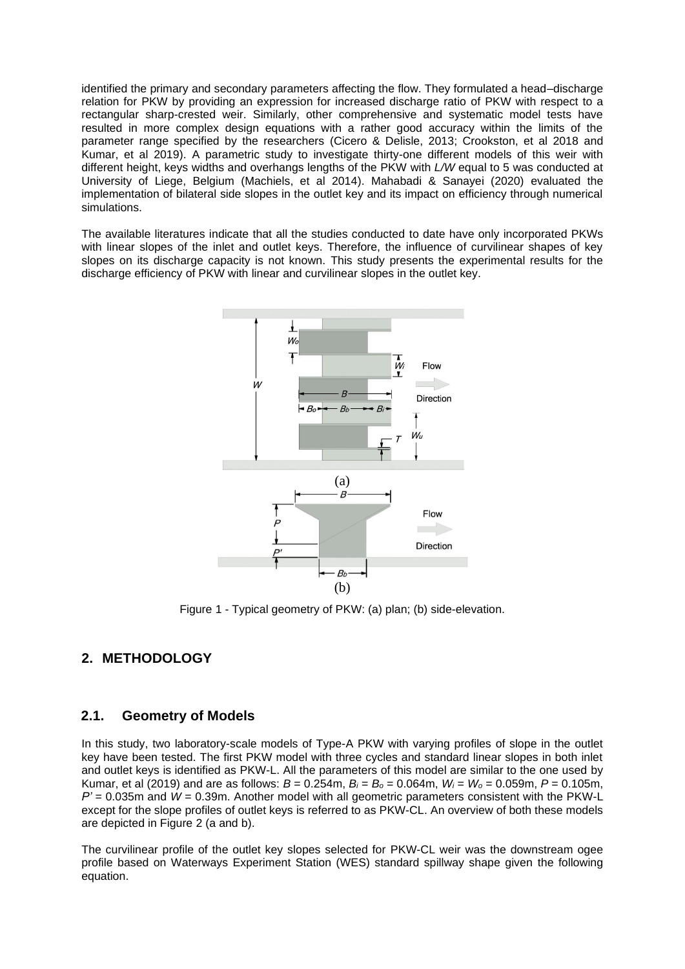identified the primary and secondary parameters affecting the flow. They formulated a head–discharge relation for PKW by providing an expression for increased discharge ratio of PKW with respect to a rectangular sharp-crested weir. Similarly, other comprehensive and systematic model tests have resulted in more complex design equations with a rather good accuracy within the limits of the parameter range specified by the researchers (Cicero & Delisle, 2013; Crookston, et al 2018 and Kumar, et al 2019). A parametric study to investigate thirty-one different models of this weir with different height, keys widths and overhangs lengths of the PKW with *L/W* equal to 5 was conducted at University of Liege, Belgium (Machiels, et al 2014). Mahabadi & Sanayei (2020) evaluated the implementation of bilateral side slopes in the outlet key and its impact on efficiency through numerical simulations.

The available literatures indicate that all the studies conducted to date have only incorporated PKWs with linear slopes of the inlet and outlet keys. Therefore, the influence of curvilinear shapes of key slopes on its discharge capacity is not known. This study presents the experimental results for the discharge efficiency of PKW with linear and curvilinear slopes in the outlet key.



Figure 1 - Typical geometry of PKW: (a) plan; (b) side-elevation.

## **2. METHODOLOGY**

#### **2.1. Geometry of Models**

In this study, two laboratory-scale models of Type-A PKW with varying profiles of slope in the outlet key have been tested. The first PKW model with three cycles and standard linear slopes in both inlet and outlet keys is identified as PKW-L. All the parameters of this model are similar to the one used by Kumar, et al (2019) and are as follows: *B* = 0.254m, *B<sup>i</sup>* = *B<sup>o</sup>* = 0.064m, *W<sup>i</sup>* = *W<sup>o</sup>* = 0.059m, *P* = 0.105m, *P'* = 0.035m and *W* = 0.39m. Another model with all geometric parameters consistent with the PKW-L except for the slope profiles of outlet keys is referred to as PKW-CL. An overview of both these models are depicted in Figure 2 (a and b).

The curvilinear profile of the outlet key slopes selected for PKW-CL weir was the downstream ogee profile based on Waterways Experiment Station (WES) standard spillway shape given the following equation.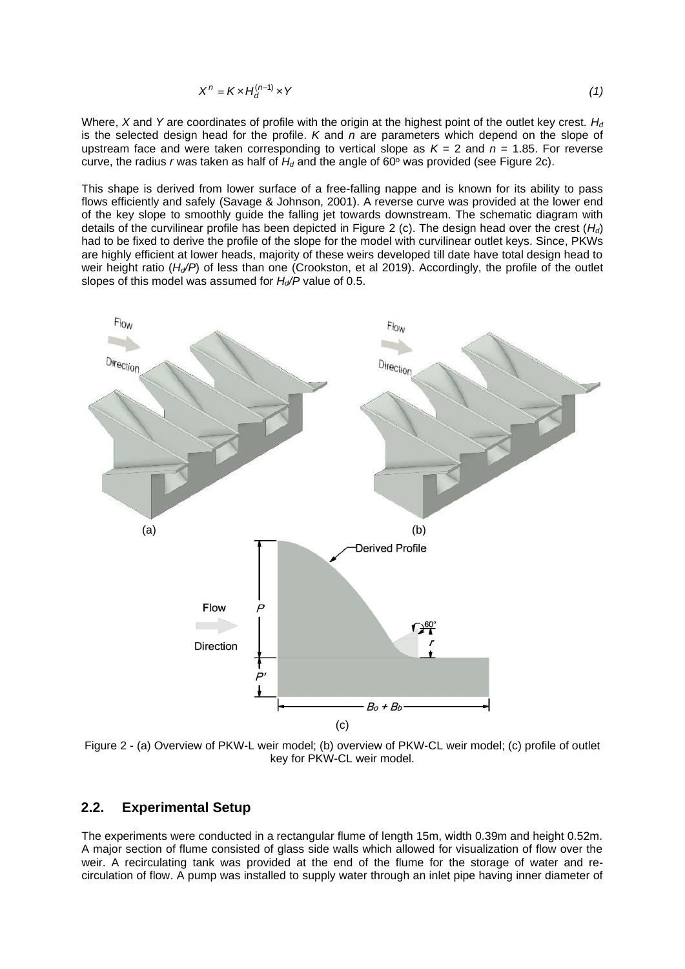$$
X^{n} = K \times H_{d}^{(n-1)} \times Y
$$
 (1)

Where, *X* and *Y* are coordinates of profile with the origin at the highest point of the outlet key crest. *H<sup>d</sup>* is the selected design head for the profile. *K* and *n* are parameters which depend on the slope of upstream face and were taken corresponding to vertical slope as *K* = 2 and *n* = 1.85. For reverse curve, the radius *r* was taken as half of  $H_d$  and the angle of 60 $\degree$  was provided (see Figure 2c).

This shape is derived from lower surface of a free-falling nappe and is known for its ability to pass flows efficiently and safely (Savage & Johnson, 2001). A reverse curve was provided at the lower end of the key slope to smoothly guide the falling jet towards downstream. The schematic diagram with details of the curvilinear profile has been depicted in Figure 2 (c). The design head over the crest (*Hd*) had to be fixed to derive the profile of the slope for the model with curvilinear outlet keys. Since, PKWs are highly efficient at lower heads, majority of these weirs developed till date have total design head to weir height ratio (*Hd/P*) of less than one (Crookston, et al 2019). Accordingly, the profile of the outlet slopes of this model was assumed for *Hd/P* value of 0.5.



Figure 2 - (a) Overview of PKW-L weir model; (b) overview of PKW-CL weir model; (c) profile of outlet key for PKW-CL weir model.

#### **2.2. Experimental Setup**

The experiments were conducted in a rectangular flume of length 15m, width 0.39m and height 0.52m. A major section of flume consisted of glass side walls which allowed for visualization of flow over the weir. A recirculating tank was provided at the end of the flume for the storage of water and recirculation of flow. A pump was installed to supply water through an inlet pipe having inner diameter of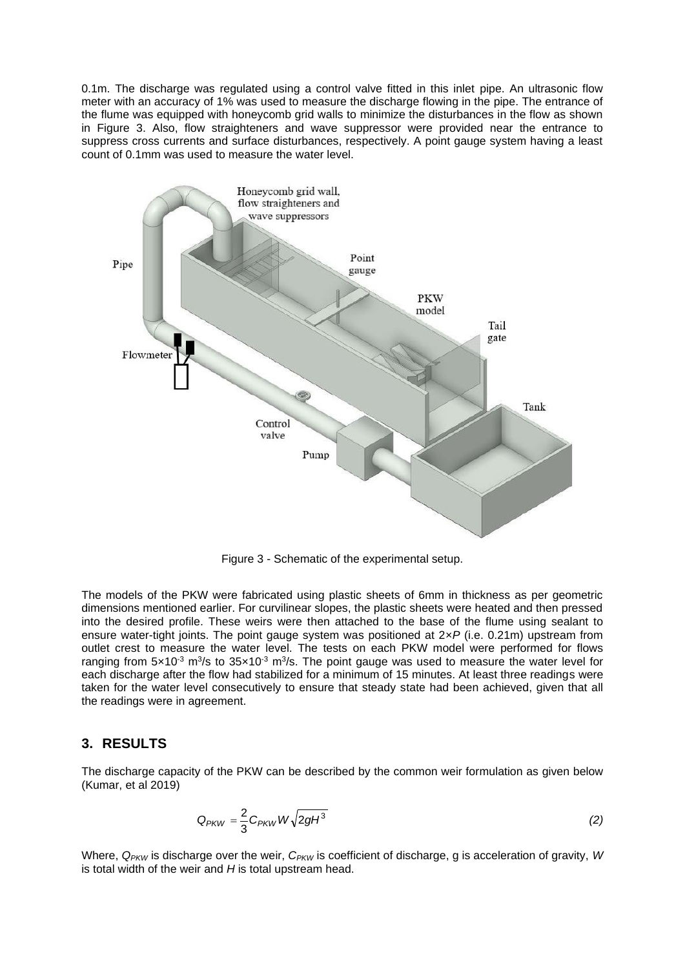0.1m. The discharge was regulated using a control valve fitted in this inlet pipe. An ultrasonic flow meter with an accuracy of 1% was used to measure the discharge flowing in the pipe. The entrance of the flume was equipped with honeycomb grid walls to minimize the disturbances in the flow as shown in Figure 3. Also, flow straighteners and wave suppressor were provided near the entrance to suppress cross currents and surface disturbances, respectively. A point gauge system having a least count of 0.1mm was used to measure the water level.



Figure 3 - Schematic of the experimental setup.

The models of the PKW were fabricated using plastic sheets of 6mm in thickness as per geometric dimensions mentioned earlier. For curvilinear slopes, the plastic sheets were heated and then pressed into the desired profile. These weirs were then attached to the base of the flume using sealant to ensure water-tight joints. The point gauge system was positioned at 2×*P* (i.e. 0.21m) upstream from outlet crest to measure the water level. The tests on each PKW model were performed for flows ranging from 5×10<sup>-3</sup> m<sup>3</sup>/s to 35×10<sup>-3</sup> m<sup>3</sup>/s. The point gauge was used to measure the water level for each discharge after the flow had stabilized for a minimum of 15 minutes. At least three readings were taken for the water level consecutively to ensure that steady state had been achieved, given that all the readings were in agreement.

#### **3. RESULTS**

The discharge capacity of the PKW can be described by the common weir formulation as given below (Kumar, et al 2019)

$$
Q_{PKW} = \frac{2}{3} C_{PKW} W \sqrt{2gH^3}
$$
 (2)

Where,  $Q_{PKW}$  is discharge over the weir,  $C_{PKW}$  is coefficient of discharge, g is acceleration of gravity, *W* is total width of the weir and *H* is total upstream head.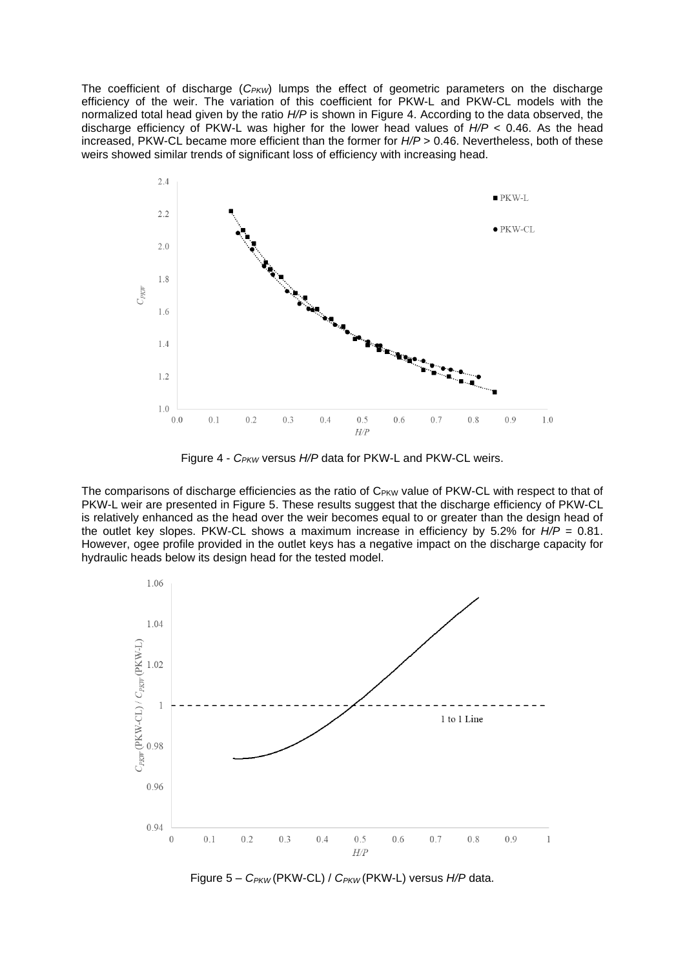The coefficient of discharge (C<sub>PKW</sub>) lumps the effect of geometric parameters on the discharge efficiency of the weir. The variation of this coefficient for PKW-L and PKW-CL models with the normalized total head given by the ratio *H/P* is shown in Figure 4. According to the data observed, the discharge efficiency of PKW-L was higher for the lower head values of *H/P* < 0.46. As the head increased, PKW-CL became more efficient than the former for  $H/P > 0.46$ . Nevertheless, both of these weirs showed similar trends of significant loss of efficiency with increasing head.



Figure 4 - *CPKW* versus *H/P* data for PKW-L and PKW-CL weirs.

The comparisons of discharge efficiencies as the ratio of C<sub>PKW</sub> value of PKW-CL with respect to that of PKW-L weir are presented in Figure 5. These results suggest that the discharge efficiency of PKW-CL is relatively enhanced as the head over the weir becomes equal to or greater than the design head of the outlet key slopes. PKW-CL shows a maximum increase in efficiency by 5.2% for *H/P* = 0.81. However, ogee profile provided in the outlet keys has a negative impact on the discharge capacity for hydraulic heads below its design head for the tested model.



Figure 5 – *CPKW* (PKW-CL) / *CPKW* (PKW-L) versus *H/P* data.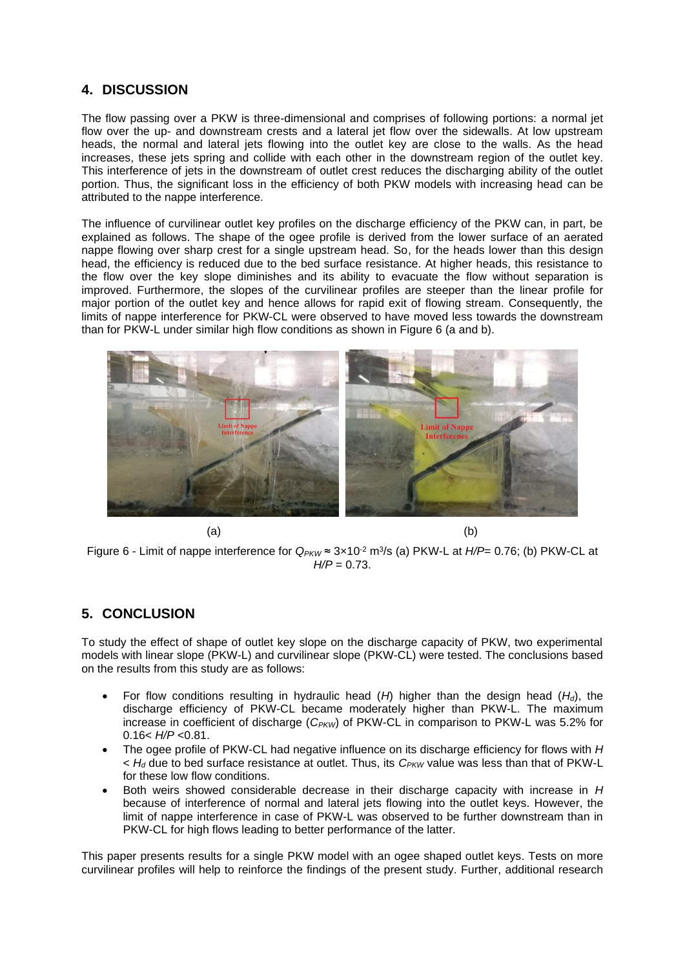### **4. DISCUSSION**

The flow passing over a PKW is three-dimensional and comprises of following portions: a normal jet flow over the up- and downstream crests and a lateral jet flow over the sidewalls. At low upstream heads, the normal and lateral jets flowing into the outlet key are close to the walls. As the head increases, these jets spring and collide with each other in the downstream region of the outlet key. This interference of jets in the downstream of outlet crest reduces the discharging ability of the outlet portion. Thus, the significant loss in the efficiency of both PKW models with increasing head can be attributed to the nappe interference.

The influence of curvilinear outlet key profiles on the discharge efficiency of the PKW can, in part, be explained as follows. The shape of the ogee profile is derived from the lower surface of an aerated nappe flowing over sharp crest for a single upstream head. So, for the heads lower than this design head, the efficiency is reduced due to the bed surface resistance. At higher heads, this resistance to the flow over the key slope diminishes and its ability to evacuate the flow without separation is improved. Furthermore, the slopes of the curvilinear profiles are steeper than the linear profile for major portion of the outlet key and hence allows for rapid exit of flowing stream. Consequently, the limits of nappe interference for PKW-CL were observed to have moved less towards the downstream than for PKW-L under similar high flow conditions as shown in Figure 6 (a and b).



 $(a)$  (b)

Figure 6 - Limit of nappe interference for *QPKW* ≈ 3×10-2 m<sup>3</sup> /s (a) PKW-L at *H/P*= 0.76; (b) PKW-CL at *H/P* = 0.73.

## **5. CONCLUSION**

To study the effect of shape of outlet key slope on the discharge capacity of PKW, two experimental models with linear slope (PKW-L) and curvilinear slope (PKW-CL) were tested. The conclusions based on the results from this study are as follows:

- For flow conditions resulting in hydraulic head (*H*) higher than the design head (*Hd*), the discharge efficiency of PKW-CL became moderately higher than PKW-L. The maximum increase in coefficient of discharge (*C<sub>PKW</sub>*) of PKW-CL in comparison to PKW-L was 5.2% for 0.16< *H/P* <0.81.
- The ogee profile of PKW-CL had negative influence on its discharge efficiency for flows with *H* < *H<sup>d</sup>* due to bed surface resistance at outlet. Thus, its *CPKW* value was less than that of PKW-L for these low flow conditions.
- Both weirs showed considerable decrease in their discharge capacity with increase in *H* because of interference of normal and lateral jets flowing into the outlet keys. However, the limit of nappe interference in case of PKW-L was observed to be further downstream than in PKW-CL for high flows leading to better performance of the latter.

This paper presents results for a single PKW model with an ogee shaped outlet keys. Tests on more curvilinear profiles will help to reinforce the findings of the present study. Further, additional research